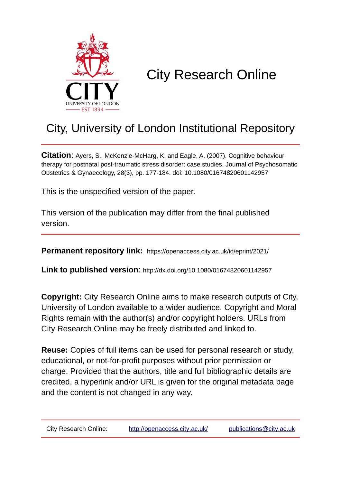

# City Research Online

## City, University of London Institutional Repository

**Citation**: Ayers, S., McKenzie-McHarg, K. and Eagle, A. (2007). Cognitive behaviour therapy for postnatal post-traumatic stress disorder: case studies. Journal of Psychosomatic Obstetrics & Gynaecology, 28(3), pp. 177-184. doi: 10.1080/01674820601142957

This is the unspecified version of the paper.

This version of the publication may differ from the final published version.

**Permanent repository link:** https://openaccess.city.ac.uk/id/eprint/2021/

**Link to published version**: http://dx.doi.org/10.1080/01674820601142957

**Copyright:** City Research Online aims to make research outputs of City, University of London available to a wider audience. Copyright and Moral Rights remain with the author(s) and/or copyright holders. URLs from City Research Online may be freely distributed and linked to.

**Reuse:** Copies of full items can be used for personal research or study, educational, or not-for-profit purposes without prior permission or charge. Provided that the authors, title and full bibliographic details are credited, a hyperlink and/or URL is given for the original metadata page and the content is not changed in any way.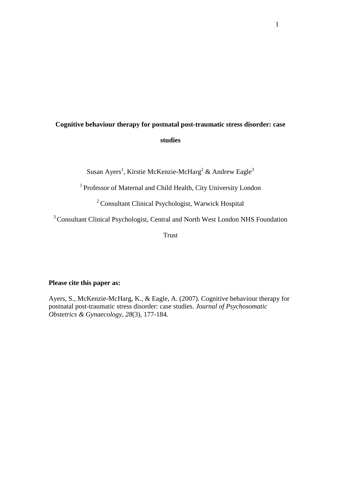### **Cognitive behaviour therapy for postnatal post-traumatic stress disorder: case studies**

Susan Ayers<sup>1</sup>, Kirstie McKenzie-McHarg<sup>2</sup> & Andrew Eagle<sup>3</sup>

<sup>1</sup> Professor of Maternal and Child Health, City University London

<sup>2</sup> Consultant Clinical Psychologist, Warwick Hospital

<sup>3</sup> Consultant Clinical Psychologist, Central and North West London NHS Foundation

Trust

#### **Please cite this paper as:**

Ayers, S., McKenzie-McHarg, K., & Eagle, A. (2007). Cognitive behaviour therapy for postnatal post-traumatic stress disorder: case studies. *Journal of Psychosomatic Obstetrics & Gynaecology*, *28*(3), 177-184.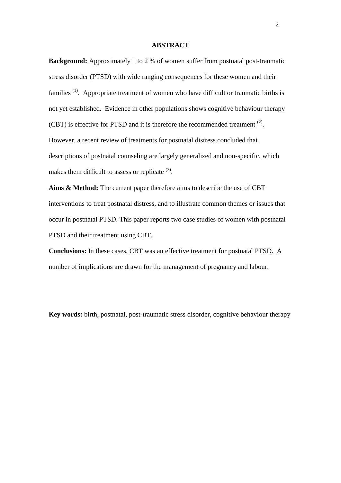#### **ABSTRACT**

**Background:** Approximately 1 to 2 % of women suffer from postnatal post-traumatic stress disorder (PTSD) with wide ranging consequences for these women and their families<sup> $(1)$ </sup>. Appropriate treatment of women who have difficult or traumatic births is not yet established. Evidence in other populations shows cognitive behaviour therapy (CBT) is effective for PTSD and it is therefore the recommended treatment  $(2)$ . However, a recent review of treatments for postnatal distress concluded that descriptions of postnatal counseling are largely generalized and non-specific, which makes them difficult to assess or replicate  $(3)$ .

**Aims & Method:** The current paper therefore aims to describe the use of CBT interventions to treat postnatal distress, and to illustrate common themes or issues that occur in postnatal PTSD. This paper reports two case studies of women with postnatal PTSD and their treatment using CBT.

**Conclusions:** In these cases, CBT was an effective treatment for postnatal PTSD. A number of implications are drawn for the management of pregnancy and labour.

**Key words:** birth, postnatal, post-traumatic stress disorder, cognitive behaviour therapy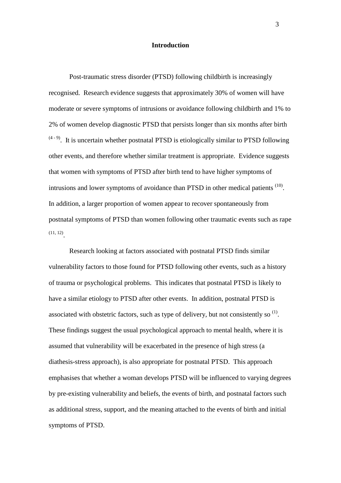#### **Introduction**

Post-traumatic stress disorder (PTSD) following childbirth is increasingly recognised. Research evidence suggests that approximately 30% of women will have moderate or severe symptoms of intrusions or avoidance following childbirth and 1% to 2% of women develop diagnostic PTSD that persists longer than six months after birth  $(4-9)$ . It is uncertain whether postnatal PTSD is etiologically similar to PTSD following other events, and therefore whether similar treatment is appropriate. Evidence suggests that women with symptoms of PTSD after birth tend to have higher symptoms of intrusions and lower symptoms of avoidance than PTSD in other medical patients <sup>(10)</sup>. In addition, a larger proportion of women appear to recover spontaneously from postnatal symptoms of PTSD than women following other traumatic events such as rape  $(11, 12)$ 

Research looking at factors associated with postnatal PTSD finds similar vulnerability factors to those found for PTSD following other events, such as a history of trauma or psychological problems. This indicates that postnatal PTSD is likely to have a similar etiology to PTSD after other events. In addition, postnatal PTSD is associated with obstetric factors, such as type of delivery, but not consistently so  $<sup>(1)</sup>$ .</sup> These findings suggest the usual psychological approach to mental health, where it is assumed that vulnerability will be exacerbated in the presence of high stress (a diathesis-stress approach), is also appropriate for postnatal PTSD. This approach emphasises that whether a woman develops PTSD will be influenced to varying degrees by pre-existing vulnerability and beliefs, the events of birth, and postnatal factors such as additional stress, support, and the meaning attached to the events of birth and initial symptoms of PTSD.

3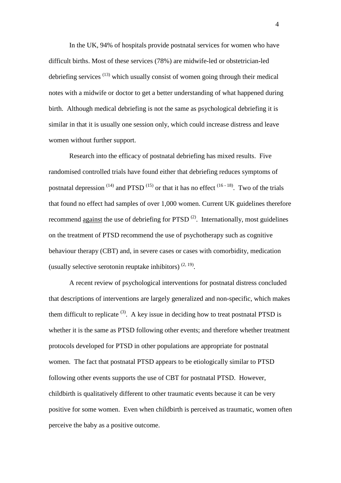In the UK, 94% of hospitals provide postnatal services for women who have difficult births. Most of these services (78%) are midwife-led or obstetrician-led debriefing services  $(13)$  which usually consist of women going through their medical notes with a midwife or doctor to get a better understanding of what happened during birth. Although medical debriefing is not the same as psychological debriefing it is similar in that it is usually one session only, which could increase distress and leave women without further support.

Research into the efficacy of postnatal debriefing has mixed results. Five randomised controlled trials have found either that debriefing reduces symptoms of postnatal depression  $(14)$  and PTSD  $(15)$  or that it has no effect  $(16 - 18)$ . Two of the trials that found no effect had samples of over 1,000 women. Current UK guidelines therefore recommend against the use of debriefing for PTSD<sup> $(2)$ </sup>. Internationally, most guidelines on the treatment of PTSD recommend the use of psychotherapy such as cognitive behaviour therapy (CBT) and, in severe cases or cases with comorbidity, medication (usually selective serotonin reuptake inhibitors)  $(2, 19)$ .

A recent review of psychological interventions for postnatal distress concluded that descriptions of interventions are largely generalized and non-specific, which makes them difficult to replicate  $(3)$ . A key issue in deciding how to treat postnatal PTSD is whether it is the same as PTSD following other events; and therefore whether treatment protocols developed for PTSD in other populations are appropriate for postnatal women. The fact that postnatal PTSD appears to be etiologically similar to PTSD following other events supports the use of CBT for postnatal PTSD. However, childbirth is qualitatively different to other traumatic events because it can be very positive for some women. Even when childbirth is perceived as traumatic, women often perceive the baby as a positive outcome.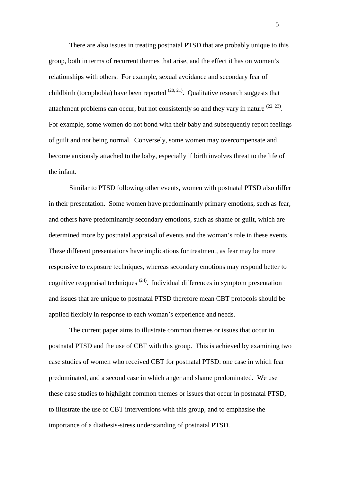There are also issues in treating postnatal PTSD that are probably unique to this group, both in terms of recurrent themes that arise, and the effect it has on women's relationships with others. For example, sexual avoidance and secondary fear of childbirth (tocophobia) have been reported  $(20, 21)$ . Qualitative research suggests that attachment problems can occur, but not consistently so and they vary in nature  $(22, 23)$ . For example, some women do not bond with their baby and subsequently report feelings of guilt and not being normal. Conversely, some women may overcompensate and become anxiously attached to the baby, especially if birth involves threat to the life of the infant.

Similar to PTSD following other events, women with postnatal PTSD also differ in their presentation. Some women have predominantly primary emotions, such as fear, and others have predominantly secondary emotions, such as shame or guilt, which are determined more by postnatal appraisal of events and the woman's role in these events. These different presentations have implications for treatment, as fear may be more responsive to exposure techniques, whereas secondary emotions may respond better to cognitive reappraisal techniques  $(24)$ . Individual differences in symptom presentation and issues that are unique to postnatal PTSD therefore mean CBT protocols should be applied flexibly in response to each woman's experience and needs.

The current paper aims to illustrate common themes or issues that occur in postnatal PTSD and the use of CBT with this group. This is achieved by examining two case studies of women who received CBT for postnatal PTSD: one case in which fear predominated, and a second case in which anger and shame predominated. We use these case studies to highlight common themes or issues that occur in postnatal PTSD, to illustrate the use of CBT interventions with this group, and to emphasise the importance of a diathesis-stress understanding of postnatal PTSD.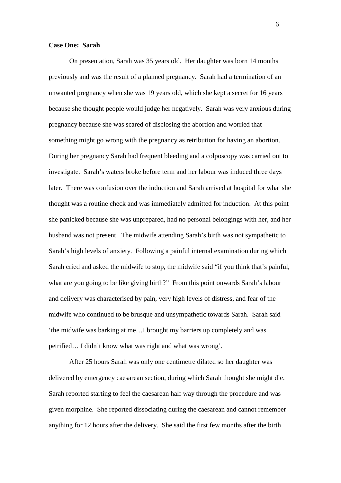#### **Case One: Sarah**

On presentation, Sarah was 35 years old. Her daughter was born 14 months previously and was the result of a planned pregnancy. Sarah had a termination of an unwanted pregnancy when she was 19 years old, which she kept a secret for 16 years because she thought people would judge her negatively. Sarah was very anxious during pregnancy because she was scared of disclosing the abortion and worried that something might go wrong with the pregnancy as retribution for having an abortion. During her pregnancy Sarah had frequent bleeding and a colposcopy was carried out to investigate. Sarah's waters broke before term and her labour was induced three days later. There was confusion over the induction and Sarah arrived at hospital for what she thought was a routine check and was immediately admitted for induction. At this point she panicked because she was unprepared, had no personal belongings with her, and her husband was not present. The midwife attending Sarah's birth was not sympathetic to Sarah's high levels of anxiety. Following a painful internal examination during which Sarah cried and asked the midwife to stop, the midwife said "if you think that's painful, what are you going to be like giving birth?" From this point onwards Sarah's labour and delivery was characterised by pain, very high levels of distress, and fear of the midwife who continued to be brusque and unsympathetic towards Sarah. Sarah said 'the midwife was barking at me…I brought my barriers up completely and was petrified… I didn't know what was right and what was wrong'.

After 25 hours Sarah was only one centimetre dilated so her daughter was delivered by emergency caesarean section, during which Sarah thought she might die. Sarah reported starting to feel the caesarean half way through the procedure and was given morphine. She reported dissociating during the caesarean and cannot remember anything for 12 hours after the delivery. She said the first few months after the birth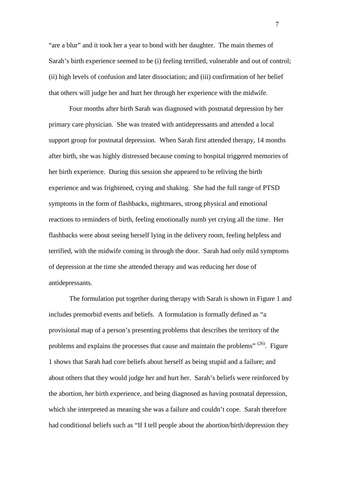"are a blur" and it took her a year to bond with her daughter. The main themes of Sarah's birth experience seemed to be (i) feeling terrified, vulnerable and out of control; (ii) high levels of confusion and later dissociation; and (iii) confirmation of her belief that others will judge her and hurt her through her experience with the midwife.

Four months after birth Sarah was diagnosed with postnatal depression by her primary care physician. She was treated with antidepressants and attended a local support group for postnatal depression. When Sarah first attended therapy, 14 months after birth, she was highly distressed because coming to hospital triggered memories of her birth experience. During this session she appeared to be reliving the birth experience and was frightened, crying and shaking. She had the full range of PTSD symptoms in the form of flashbacks, nightmares, strong physical and emotional reactions to reminders of birth, feeling emotionally numb yet crying all the time. Her flashbacks were about seeing herself lying in the delivery room, feeling helpless and terrified, with the midwife coming in through the door. Sarah had only mild symptoms of depression at the time she attended therapy and was reducing her dose of antidepressants.

The formulation put together during therapy with Sarah is shown in Figure 1 and includes premorbid events and beliefs. A formulation is formally defined as "a provisional map of a person's presenting problems that describes the territory of the problems and explains the processes that cause and maintain the problems"  $(26)$ . Figure 1 shows that Sarah had core beliefs about herself as being stupid and a failure; and about others that they would judge her and hurt her. Sarah's beliefs were reinforced by the abortion, her birth experience, and being diagnosed as having postnatal depression, which she interpreted as meaning she was a failure and couldn't cope. Sarah therefore had conditional beliefs such as "If I tell people about the abortion/birth/depression they

7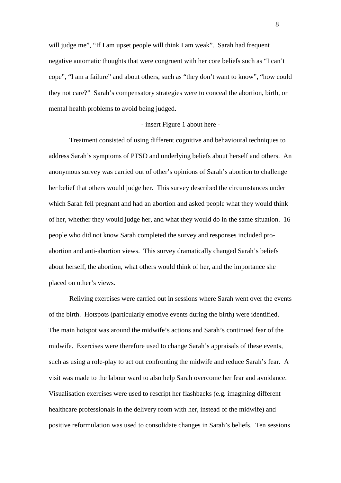will judge me", "If I am upset people will think I am weak". Sarah had frequent negative automatic thoughts that were congruent with her core beliefs such as "I can't cope", "I am a failure" and about others, such as "they don't want to know", "how could they not care?" Sarah's compensatory strategies were to conceal the abortion, birth, or mental health problems to avoid being judged.

#### - insert Figure 1 about here -

Treatment consisted of using different cognitive and behavioural techniques to address Sarah's symptoms of PTSD and underlying beliefs about herself and others. An anonymous survey was carried out of other's opinions of Sarah's abortion to challenge her belief that others would judge her. This survey described the circumstances under which Sarah fell pregnant and had an abortion and asked people what they would think of her, whether they would judge her, and what they would do in the same situation. 16 people who did not know Sarah completed the survey and responses included proabortion and anti-abortion views. This survey dramatically changed Sarah's beliefs about herself, the abortion, what others would think of her, and the importance she placed on other's views.

Reliving exercises were carried out in sessions where Sarah went over the events of the birth. Hotspots (particularly emotive events during the birth) were identified. The main hotspot was around the midwife's actions and Sarah's continued fear of the midwife. Exercises were therefore used to change Sarah's appraisals of these events, such as using a role-play to act out confronting the midwife and reduce Sarah's fear. A visit was made to the labour ward to also help Sarah overcome her fear and avoidance. Visualisation exercises were used to rescript her flashbacks (e.g. imagining different healthcare professionals in the delivery room with her, instead of the midwife) and positive reformulation was used to consolidate changes in Sarah's beliefs. Ten sessions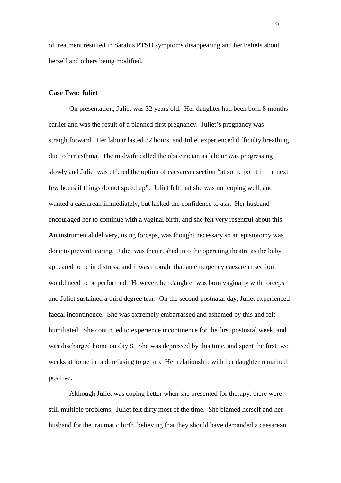of treatment resulted in Sarah's PTSD symptoms disappearing and her beliefs about herself and others being modified.

#### **Case Two: Juliet**

On presentation, Juliet was 32 years old. Her daughter had been born 8 months earlier and was the result of a planned first pregnancy. Juliet's pregnancy was straightforward. Her labour lasted 32 hours, and Juliet experienced difficulty breathing due to her asthma. The midwife called the obstetrician as labour was progressing slowly and Juliet was offered the option of caesarean section "at some point in the next few hours if things do not speed up". Juliet felt that she was not coping well, and wanted a caesarean immediately, but lacked the confidence to ask. Her husband encouraged her to continue with a vaginal birth, and she felt very resentful about this. An instrumental delivery, using forceps, was thought necessary so an episiotomy was done to prevent tearing. Juliet was then rushed into the operating theatre as the baby appeared to be in distress, and it was thought that an emergency caesarean section would need to be performed. However, her daughter was born vaginally with forceps and Juliet sustained a third degree tear. On the second postnatal day, Juliet experienced faecal incontinence. She was extremely embarrassed and ashamed by this and felt humiliated. She continued to experience incontinence for the first postnatal week, and was discharged home on day 8. She was depressed by this time, and spent the first two weeks at home in bed, refusing to get up. Her relationship with her daughter remained positive.

Although Juliet was coping better when she presented for therapy, there were still multiple problems. Juliet felt dirty most of the time. She blamed herself and her husband for the traumatic birth, believing that they should have demanded a caesarean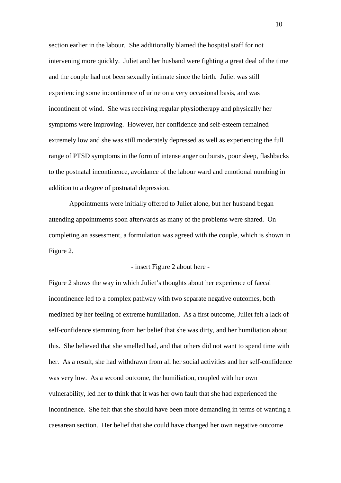section earlier in the labour. She additionally blamed the hospital staff for not intervening more quickly. Juliet and her husband were fighting a great deal of the time and the couple had not been sexually intimate since the birth. Juliet was still experiencing some incontinence of urine on a very occasional basis, and was incontinent of wind. She was receiving regular physiotherapy and physically her symptoms were improving. However, her confidence and self-esteem remained extremely low and she was still moderately depressed as well as experiencing the full range of PTSD symptoms in the form of intense anger outbursts, poor sleep, flashbacks to the postnatal incontinence, avoidance of the labour ward and emotional numbing in addition to a degree of postnatal depression.

Appointments were initially offered to Juliet alone, but her husband began attending appointments soon afterwards as many of the problems were shared. On completing an assessment, a formulation was agreed with the couple, which is shown in Figure 2.

#### - insert Figure 2 about here -

Figure 2 shows the way in which Juliet's thoughts about her experience of faecal incontinence led to a complex pathway with two separate negative outcomes, both mediated by her feeling of extreme humiliation. As a first outcome, Juliet felt a lack of self-confidence stemming from her belief that she was dirty, and her humiliation about this. She believed that she smelled bad, and that others did not want to spend time with her. As a result, she had withdrawn from all her social activities and her self-confidence was very low. As a second outcome, the humiliation, coupled with her own vulnerability, led her to think that it was her own fault that she had experienced the incontinence. She felt that she should have been more demanding in terms of wanting a caesarean section.Her belief that she could have changed her own negative outcome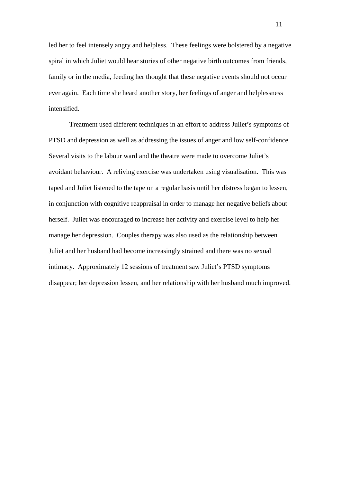led her to feel intensely angry and helpless. These feelings were bolstered by a negative spiral in which Juliet would hear stories of other negative birth outcomes from friends, family or in the media, feeding her thought that these negative events should not occur ever again. Each time she heard another story, her feelings of anger and helplessness intensified.

Treatment used different techniques in an effort to address Juliet's symptoms of PTSD and depression as well as addressing the issues of anger and low self-confidence. Several visits to the labour ward and the theatre were made to overcome Juliet's avoidant behaviour. A reliving exercise was undertaken using visualisation. This was taped and Juliet listened to the tape on a regular basis until her distress began to lessen, in conjunction with cognitive reappraisal in order to manage her negative beliefs about herself. Juliet was encouraged to increase her activity and exercise level to help her manage her depression. Couples therapy was also used as the relationship between Juliet and her husband had become increasingly strained and there was no sexual intimacy. Approximately 12 sessions of treatment saw Juliet's PTSD symptoms disappear; her depression lessen, and her relationship with her husband much improved.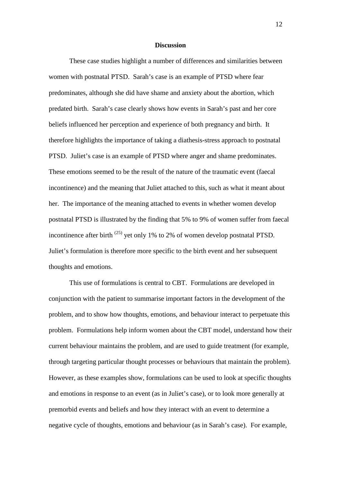#### **Discussion**

These case studies highlight a number of differences and similarities between women with postnatal PTSD. Sarah's case is an example of PTSD where fear predominates, although she did have shame and anxiety about the abortion, which predated birth. Sarah's case clearly shows how events in Sarah's past and her core beliefs influenced her perception and experience of both pregnancy and birth. It therefore highlights the importance of taking a diathesis-stress approach to postnatal PTSD. Juliet's case is an example of PTSD where anger and shame predominates. These emotions seemed to be the result of the nature of the traumatic event (faecal incontinence) and the meaning that Juliet attached to this, such as what it meant about her. The importance of the meaning attached to events in whether women develop postnatal PTSD is illustrated by the finding that 5% to 9% of women suffer from faecal incontinence after birth  $^{(25)}$  yet only 1% to 2% of women develop postnatal PTSD. Juliet's formulation is therefore more specific to the birth event and her subsequent thoughts and emotions.

This use of formulations is central to CBT. Formulations are developed in conjunction with the patient to summarise important factors in the development of the problem, and to show how thoughts, emotions, and behaviour interact to perpetuate this problem. Formulations help inform women about the CBT model, understand how their current behaviour maintains the problem, and are used to guide treatment (for example, through targeting particular thought processes or behaviours that maintain the problem). However, as these examples show, formulations can be used to look at specific thoughts and emotions in response to an event (as in Juliet's case), or to look more generally at premorbid events and beliefs and how they interact with an event to determine a negative cycle of thoughts, emotions and behaviour (as in Sarah's case). For example,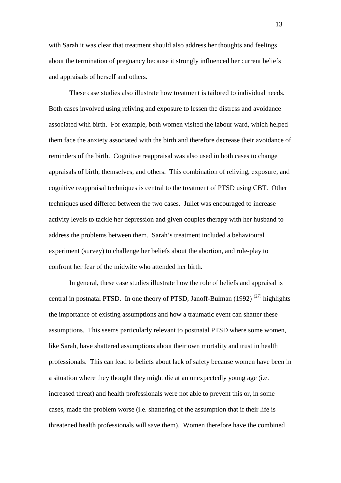with Sarah it was clear that treatment should also address her thoughts and feelings about the termination of pregnancy because it strongly influenced her current beliefs and appraisals of herself and others.

These case studies also illustrate how treatment is tailored to individual needs. Both cases involved using reliving and exposure to lessen the distress and avoidance associated with birth. For example, both women visited the labour ward, which helped them face the anxiety associated with the birth and therefore decrease their avoidance of reminders of the birth. Cognitive reappraisal was also used in both cases to change appraisals of birth, themselves, and others. This combination of reliving, exposure, and cognitive reappraisal techniques is central to the treatment of PTSD using CBT. Other techniques used differed between the two cases. Juliet was encouraged to increase activity levels to tackle her depression and given couples therapy with her husband to address the problems between them. Sarah's treatment included a behavioural experiment (survey) to challenge her beliefs about the abortion, and role-play to confront her fear of the midwife who attended her birth.

In general, these case studies illustrate how the role of beliefs and appraisal is central in postnatal PTSD. In one theory of PTSD, Janoff-Bulman (1992)<sup>(27)</sup> highlights the importance of existing assumptions and how a traumatic event can shatter these assumptions. This seems particularly relevant to postnatal PTSD where some women, like Sarah, have shattered assumptions about their own mortality and trust in health professionals. This can lead to beliefs about lack of safety because women have been in a situation where they thought they might die at an unexpectedly young age (i.e. increased threat) and health professionals were not able to prevent this or, in some cases, made the problem worse (i.e. shattering of the assumption that if their life is threatened health professionals will save them). Women therefore have the combined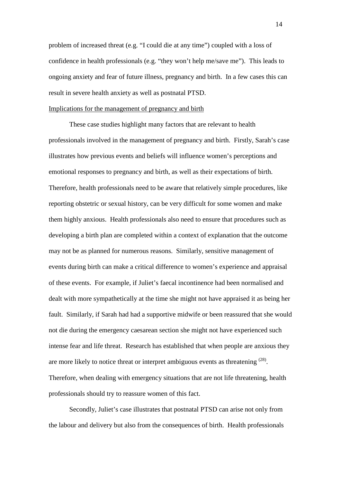problem of increased threat (e.g. "I could die at any time") coupled with a loss of confidence in health professionals (e.g. "they won't help me/save me"). This leads to ongoing anxiety and fear of future illness, pregnancy and birth. In a few cases this can result in severe health anxiety as well as postnatal PTSD.

#### Implications for the management of pregnancy and birth

These case studies highlight many factors that are relevant to health professionals involved in the management of pregnancy and birth. Firstly, Sarah's case illustrates how previous events and beliefs will influence women's perceptions and emotional responses to pregnancy and birth, as well as their expectations of birth. Therefore, health professionals need to be aware that relatively simple procedures, like reporting obstetric or sexual history, can be very difficult for some women and make them highly anxious. Health professionals also need to ensure that procedures such as developing a birth plan are completed within a context of explanation that the outcome may not be as planned for numerous reasons. Similarly, sensitive management of events during birth can make a critical difference to women's experience and appraisal of these events. For example, if Juliet's faecal incontinence had been normalised and dealt with more sympathetically at the time she might not have appraised it as being her fault. Similarly, if Sarah had had a supportive midwife or been reassured that she would not die during the emergency caesarean section she might not have experienced such intense fear and life threat. Research has established that when people are anxious they are more likely to notice threat or interpret ambiguous events as threatening  $(28)$ . Therefore, when dealing with emergency situations that are not life threatening, health professionals should try to reassure women of this fact.

Secondly, Juliet's case illustrates that postnatal PTSD can arise not only from the labour and delivery but also from the consequences of birth. Health professionals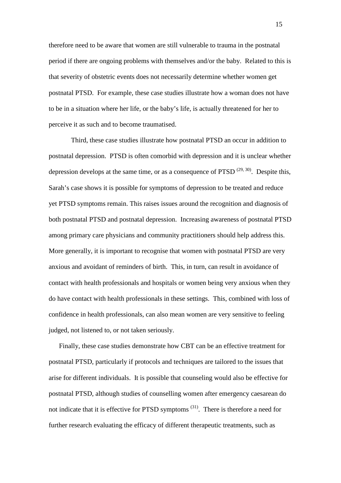therefore need to be aware that women are still vulnerable to trauma in the postnatal period if there are ongoing problems with themselves and/or the baby. Related to this is that severity of obstetric events does not necessarily determine whether women get postnatal PTSD. For example, these case studies illustrate how a woman does not have to be in a situation where her life, or the baby's life, is actually threatened for her to perceive it as such and to become traumatised.

Third, these case studies illustrate how postnatal PTSD an occur in addition to postnatal depression. PTSD is often comorbid with depression and it is unclear whether depression develops at the same time, or as a consequence of PTSD  $^{(29, 30)}$ . Despite this, Sarah's case shows it is possible for symptoms of depression to be treated and reduce yet PTSD symptoms remain. This raises issues around the recognition and diagnosis of both postnatal PTSD and postnatal depression. Increasing awareness of postnatal PTSD among primary care physicians and community practitioners should help address this. More generally, it is important to recognise that women with postnatal PTSD are very anxious and avoidant of reminders of birth. This, in turn, can result in avoidance of contact with health professionals and hospitals or women being very anxious when they do have contact with health professionals in these settings. This, combined with loss of confidence in health professionals, can also mean women are very sensitive to feeling judged, not listened to, or not taken seriously.

Finally, these case studies demonstrate how CBT can be an effective treatment for postnatal PTSD, particularly if protocols and techniques are tailored to the issues that arise for different individuals. It is possible that counseling would also be effective for postnatal PTSD, although studies of counselling women after emergency caesarean do not indicate that it is effective for PTSD symptoms<sup>(31)</sup>. There is therefore a need for further research evaluating the efficacy of different therapeutic treatments, such as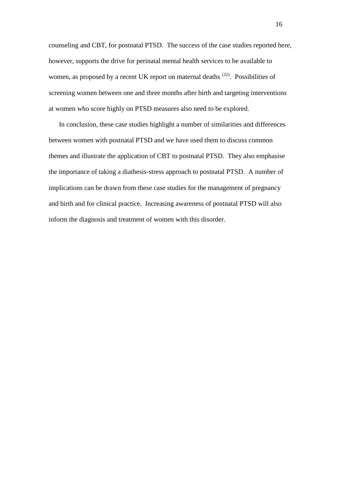counseling and CBT, for postnatal PTSD. The success of the case studies reported here, however, supports the drive for perinatal mental health services to be available to women, as proposed by a recent UK report on maternal deaths  $(32)$ . Possibilities of screening women between one and three months after birth and targeting interventions at women who score highly on PTSD measures also need to be explored.

In conclusion, these case studies highlight a number of similarities and differences between women with postnatal PTSD and we have used them to discuss common themes and illustrate the application of CBT to postnatal PTSD. They also emphasise the importance of taking a diathesis-stress approach to postnatal PTSD. A number of implications can be drawn from these case studies for the management of pregnancy and birth and for clinical practice. Increasing awareness of postnatal PTSD will also inform the diagnosis and treatment of women with this disorder.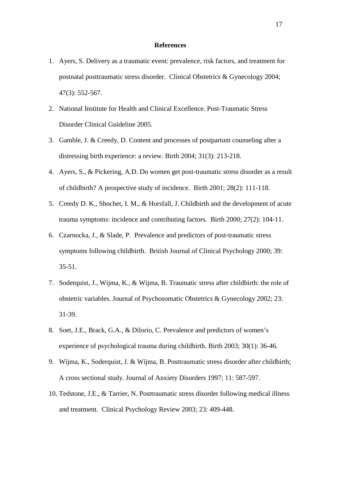#### **References**

- 1. Ayers, S. Delivery as a traumatic event: prevalence, risk factors, and treatment for postnatal posttraumatic stress disorder. Clinical Obstetrics & Gynecology 2004; 47(3): 552-567.
- 2. National Institute for Health and Clinical Excellence. Post-Traumatic Stress Disorder Clinical Guideline 2005.
- 3. Gamble, J. & Creedy, D. Content and processes of postpartum counseling after a distressing birth experience: a review. Birth 2004; 31(3): 213-218.
- 4. Ayers, S., & Pickering, A.D. Do women get post-traumatic stress disorder as a result of childbirth? A prospective study of incidence. Birth 2001; 28(2): 111-118.
- 5. Creedy D. K., Shochet, I. M., & Horsfall, J. Childbirth and the development of acute trauma symptoms: incidence and contributing factors. Birth 2000; 27(2): 104-11.
- 6. Czarnocka, J., & Slade, P. Prevalence and predictors of post-traumatic stress symptoms following childbirth. British Journal of Clinical Psychology 2000; 39: 35-51.
- 7. Soderquist, J., Wijma, K., & Wijma, B. Traumatic stress after childbirth: the role of obstetric variables. Journal of Psychosomatic Obstetrics & Gynecology 2002; 23: 31-39.
- 8. Soet, J.E., Brack, G.A., & Dilorio, C. Prevalence and predictors of women's experience of psychological trauma during childbirth. Birth 2003; 30(1): 36-46.
- 9. Wijma, K., Soderquist, J. & Wijma, B. Posttraumatic stress disorder after childbirth; A cross sectional study. Journal of Anxiety Disorders 1997; 11: 587-597.
- 10. Tedstone, J.E., & Tarrier, N. Posttraumatic stress disorder following medical illness and treatment. Clinical Psychology Review 2003; 23: 409-448.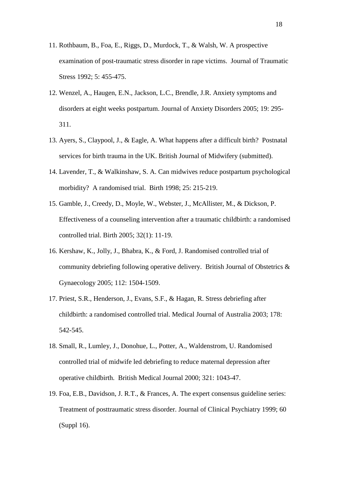- 11. Rothbaum, B., Foa, E., Riggs, D., Murdock, T., & Walsh, W. A prospective examination of post-traumatic stress disorder in rape victims. Journal of Traumatic Stress 1992; 5: 455-475.
- 12. Wenzel, A., Haugen, E.N., Jackson, L.C., Brendle, J.R. Anxiety symptoms and disorders at eight weeks postpartum. Journal of Anxiety Disorders 2005; 19: 295- 311.
- 13. Ayers, S., Claypool, J., & Eagle, A. What happens after a difficult birth? Postnatal services for birth trauma in the UK. British Journal of Midwifery (submitted).
- 14. Lavender, T., & Walkinshaw, S. A. Can midwives reduce postpartum psychological morbidity? A randomised trial. Birth 1998; 25: 215-219.
- 15. Gamble, J., Creedy, D., Moyle, W., Webster, J., McAllister, M., & Dickson, P. Effectiveness of a counseling intervention after a traumatic childbirth: a randomised controlled trial. Birth 2005; 32(1): 11-19.
- 16. Kershaw, K., Jolly, J., Bhabra, K., & Ford, J. Randomised controlled trial of community debriefing following operative delivery. British Journal of Obstetrics  $\&$ Gynaecology 2005; 112: 1504-1509.
- 17. Priest, S.R., Henderson, J., Evans, S.F., & Hagan, R. Stress debriefing after childbirth: a randomised controlled trial. Medical Journal of Australia 2003; 178: 542-545.
- 18. Small, R., Lumley, J., Donohue, L., Potter, A., Waldenstrom, U. Randomised controlled trial of midwife led debriefing to reduce maternal depression after operative childbirth. British Medical Journal 2000; 321: 1043-47.
- 19. Foa, E.B., Davidson, J. R.T., & Frances, A. The expert consensus guideline series: Treatment of posttraumatic stress disorder. Journal of Clinical Psychiatry 1999; 60 (Suppl 16).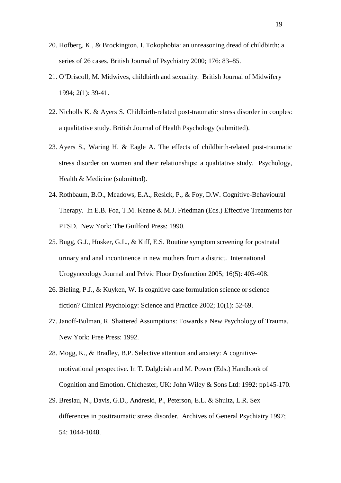- 20. Hofberg, K., & Brockington, I. Tokophobia: an unreasoning dread of childbirth: a series of 26 cases. British Journal of Psychiatry 2000; 176: 83–85.
- 21. O'Driscoll, M. Midwives, childbirth and sexuality. British Journal of Midwifery 1994; 2(1): 39-41.
- 22. Nicholls K. & Ayers S. Childbirth-related post-traumatic stress disorder in couples: a qualitative study. British Journal of Health Psychology (submitted).
- 23. Ayers S., Waring H. & Eagle A. The effects of childbirth-related post-traumatic stress disorder on women and their relationships: a qualitative study. Psychology, Health & Medicine (submitted).
- 24. Rothbaum, B.O., Meadows, E.A., Resick, P., & Foy, D.W. Cognitive-Behavioural Therapy. In E.B. Foa, T.M. Keane & M.J. Friedman (Eds.) Effective Treatments for PTSD. New York: The Guilford Press: 1990.
- 25. Bugg, G.J., Hosker, G.L., & Kiff, E.S. Routine symptom screening for postnatal urinary and anal incontinence in new mothers from a district. International Urogynecology Journal and Pelvic Floor Dysfunction 2005; 16(5): 405-408.
- 26. Bieling, P.J., & Kuyken, W. Is cognitive case formulation science or science fiction? Clinical Psychology: Science and Practice 2002; 10(1): 52-69.
- 27. Janoff-Bulman, R. Shattered Assumptions: Towards a New Psychology of Trauma. New York: Free Press: 1992.
- 28. Mogg, K., & Bradley, B.P. Selective attention and anxiety: A cognitivemotivational perspective. In T. Dalgleish and M. Power (Eds.) Handbook of Cognition and Emotion. Chichester, UK: John Wiley & Sons Ltd: 1992: pp145-170.
- 29. Breslau, N., Davis, G.D., Andreski, P., Peterson, E.L. & Shultz, L.R. Sex differences in posttraumatic stress disorder. Archives of General Psychiatry 1997; 54: 1044-1048.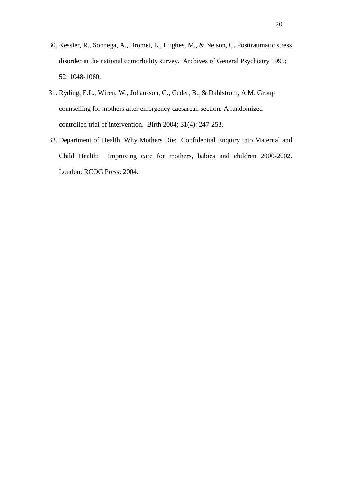- 30. Kessler, R., Sonnega, A., Bromet, E., Hughes, M., & Nelson, C. Posttraumatic stress disorder in the national comorbidity survey. Archives of General Psychiatry 1995; 52: 1048-1060.
- 31. Ryding, E.L., Wiren, W., Johansson, G., Ceder, B., & Dahlstrom, A.M. Group counselling for mothers after emergency caesarean section: A randomized controlled trial of intervention. Birth 2004; 31(4): 247-253.
- 32. Department of Health. Why Mothers Die: Confidential Enquiry into Maternal and Child Health: Improving care for mothers, babies and children 2000-2002. London: RCOG Press: 2004.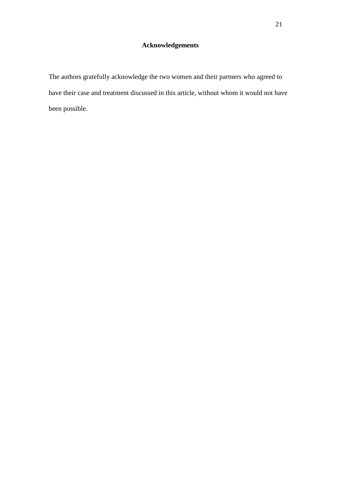#### **Acknowledgements**

The authors gratefully acknowledge the two women and their partners who agreed to have their case and treatment discussed in this article, without whom it would not have been possible.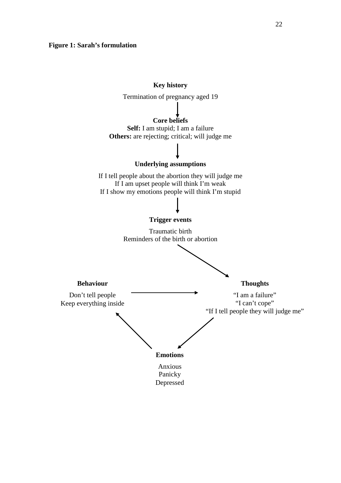